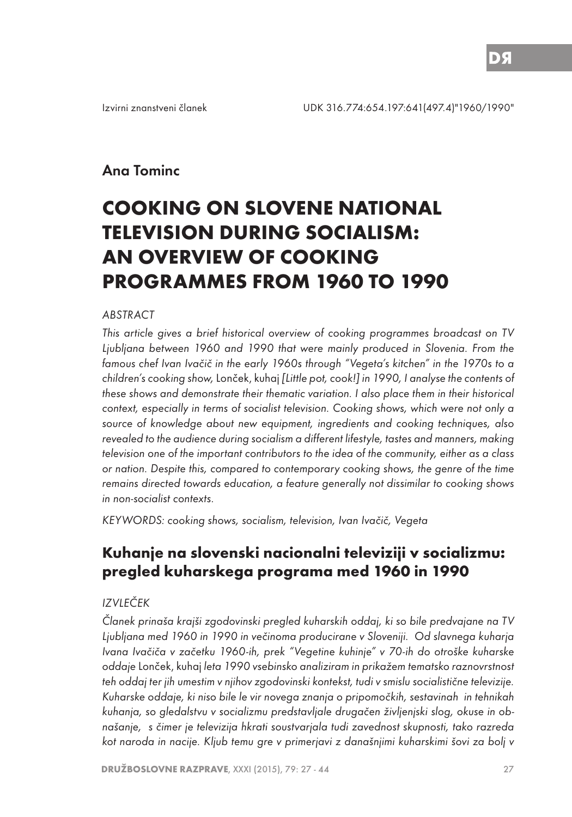# Ana Tominc

# **COOKING ON SLOVENE NATIONAL TELEVISION DURING SOCIALISM: AN OVERVIEW OF COOKING PROGRAMMES FROM 1960 TO 1990**

#### ABSTRACT

This article gives a brief historical overview of cooking programmes broadcast on TV Ljubljana between 1960 and 1990 that were mainly produced in Slovenia. From the famous chef Ivan Ivačič in the early 1960s through "Vegeta's kitchen" in the 1970s to a children's cooking show, Lonček, kuhaj [Little pot, cook!] in 1990, I analyse the contents of these shows and demonstrate their thematic variation. I also place them in their historical context, especially in terms of socialist television. Cooking shows, which were not only a source of knowledge about new equipment, ingredients and cooking techniques, also revealed to the audience during socialism a different lifestyle, tastes and manners, making television one of the important contributors to the idea of the community, either as a class or nation. Despite this, compared to contemporary cooking shows, the genre of the time remains directed towards education, a feature generally not dissimilar to cooking shows in non-socialist contexts.

KEYWORDS: cooking shows, socialism, television, Ivan Ivačič, Vegeta

# **Kuhanje na slovenski nacionalni televiziji v socializmu: pregled kuharskega programa med 1960 in 1990**

#### IZVLEČEK

Članek prinaša krajši zgodovinski pregled kuharskih oddaj, ki so bile predvajane na TV Ljubljana med 1960 in 1990 in večinoma producirane v Sloveniji. Od slavnega kuharja Ivana Ivačiča v začetku 1960-ih, prek "Vegetine kuhinje" v 70-ih do otroške kuharske oddaje Lonček, kuhaj leta 1990 vsebinsko analiziram in prikažem tematsko raznovrstnost teh oddaj ter jih umestim v njihov zgodovinski kontekst, tudi v smislu socialistične televizije. Kuharske oddaje, ki niso bile le vir novega znanja o pripomočkih, sestavinah in tehnikah kuhanja, so gledalstvu v socializmu predstavljale drugačen življenjski slog, okuse in obnašanje, s čimer je televizija hkrati soustvarjala tudi zavednost skupnosti, tako razreda kot naroda in nacije. Kljub temu gre v primerjavi z današnjimi kuharskimi šovi za bolj v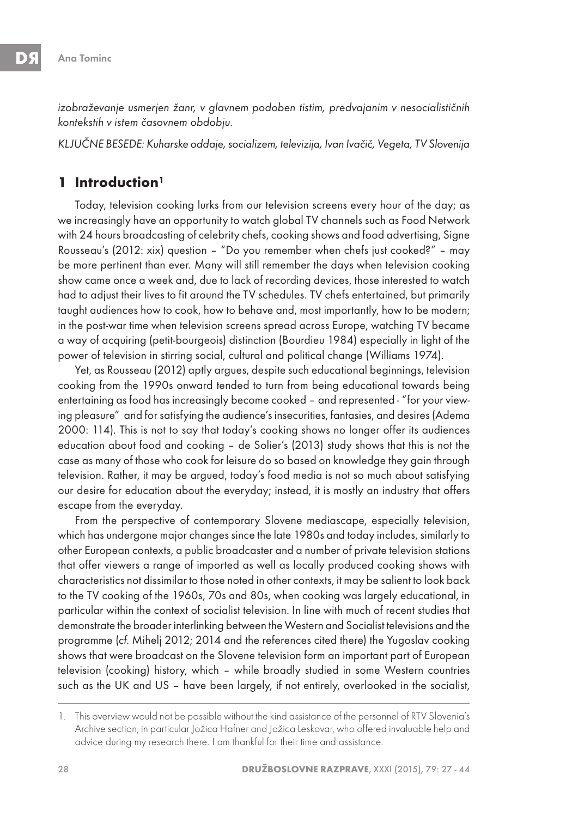izobraževanje usmerjen žanr, v glavnem podoben tistim, predvajanim v nesocialističnih kontekstih v istem časovnem obdobju.

KLJUČNE BESEDE: Kuharske oddaje, socializem, televizija, Ivan Ivačič, Vegeta, TV Slovenija

### **1 Introduction1**

Today, television cooking lurks from our television screens every hour of the day; as we increasingly have an opportunity to watch global TV channels such as Food Network with 24 hours broadcasting of celebrity chefs, cooking shows and food advertising, Signe Rousseau's (2012: xix) question – "Do you remember when chefs just cooked?" – may be more pertinent than ever. Many will still remember the days when television cooking show came once a week and, due to lack of recording devices, those interested to watch had to adjust their lives to fit around the TV schedules. TV chefs entertained, but primarily taught audiences how to cook, how to behave and, most importantly, how to be modern; in the post-war time when television screens spread across Europe, watching TV became a way of acquiring (petit-bourgeois) distinction (Bourdieu 1984) especially in light of the power of television in stirring social, cultural and political change (Williams 1974).

Yet, as Rousseau (2012) aptly argues, despite such educational beginnings, television cooking from the 1990s onward tended to turn from being educational towards being entertaining as food has increasingly become cooked – and represented - "for your viewing pleasure" and for satisfying the audience's insecurities, fantasies, and desires (Adema 2000: 114). This is not to say that today's cooking shows no longer offer its audiences education about food and cooking – de Solier's (2013) study shows that this is not the case as many of those who cook for leisure do so based on knowledge they gain through television. Rather, it may be argued, today's food media is not so much about satisfying our desire for education about the everyday; instead, it is mostly an industry that offers escape from the everyday.

From the perspective of contemporary Slovene mediascape, especially television, which has undergone major changes since the late 1980s and today includes, similarly to other European contexts, a public broadcaster and a number of private television stations that offer viewers a range of imported as well as locally produced cooking shows with characteristics not dissimilar to those noted in other contexts, it may be salient to look back to the TV cooking of the 1960s, 70s and 80s, when cooking was largely educational, in particular within the context of socialist television. In line with much of recent studies that demonstrate the broader interlinking between the Western and Socialist televisions and the programme (cf. Mihelj 2012; 2014 and the references cited there) the Yugoslav cooking shows that were broadcast on the Slovene television form an important part of European television (cooking) history, which – while broadly studied in some Western countries such as the UK and US – have been largely, if not entirely, overlooked in the socialist,

<sup>1.</sup> This overview would not be possible without the kind assistance of the personnel of RTV Slovenia's Archive section, in particular Jožica Hafner and Jožica Leskovar, who offered invaluable help and advice during my research there. I am thankful for their time and assistance.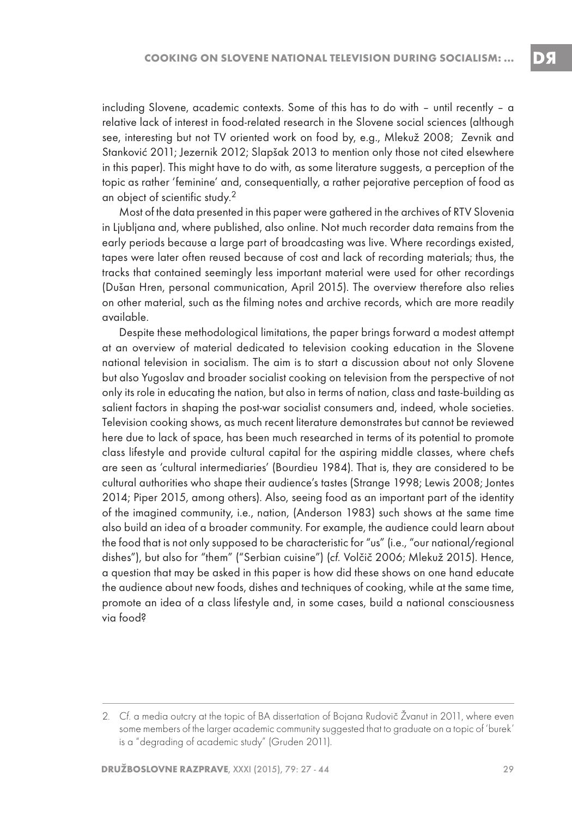including Slovene, academic contexts. Some of this has to do with – until recently – a relative lack of interest in food-related research in the Slovene social sciences (although see, interesting but not TV oriented work on food by, e.g., Mlekuž 2008; Zevnik and Stanković 2011; Jezernik 2012; Slapšak 2013 to mention only those not cited elsewhere in this paper). This might have to do with, as some literature suggests, a perception of the topic as rather 'feminine' and, consequentially, a rather pejorative perception of food as an object of scientific study.<sup>2</sup>

Most of the data presented in this paper were gathered in the archives of RTV Slovenia in Ljubljana and, where published, also online. Not much recorder data remains from the early periods because a large part of broadcasting was live. Where recordings existed, tapes were later often reused because of cost and lack of recording materials; thus, the tracks that contained seemingly less important material were used for other recordings (Dušan Hren, personal communication, April 2015). The overview therefore also relies on other material, such as the filming notes and archive records, which are more readily available.

Despite these methodological limitations, the paper brings forward a modest attempt at an overview of material dedicated to television cooking education in the Slovene national television in socialism. The aim is to start a discussion about not only Slovene but also Yugoslav and broader socialist cooking on television from the perspective of not only its role in educating the nation, but also in terms of nation, class and taste-building as salient factors in shaping the post-war socialist consumers and, indeed, whole societies. Television cooking shows, as much recent literature demonstrates but cannot be reviewed here due to lack of space, has been much researched in terms of its potential to promote class lifestyle and provide cultural capital for the aspiring middle classes, where chefs are seen as 'cultural intermediaries' (Bourdieu 1984). That is, they are considered to be cultural authorities who shape their audience's tastes (Strange 1998; Lewis 2008; Jontes 2014; Piper 2015, among others). Also, seeing food as an important part of the identity of the imagined community, i.e., nation, (Anderson 1983) such shows at the same time also build an idea of a broader community. For example, the audience could learn about the food that is not only supposed to be characteristic for "us" (i.e., "our national/regional dishes"), but also for "them" ("Serbian cuisine") (cf. Volčič 2006; Mlekuž 2015). Hence, a question that may be asked in this paper is how did these shows on one hand educate the audience about new foods, dishes and techniques of cooking, while at the same time, promote an idea of a class lifestyle and, in some cases, build a national consciousness via food?

<sup>2</sup>. Cf. a media outcry at the topic of BA dissertation of Bojana Rudovič Žvanut in 2011, where even some members of the larger academic community suggested that to graduate on a topic of 'burek' is a "degrading of academic study" (Gruden 2011).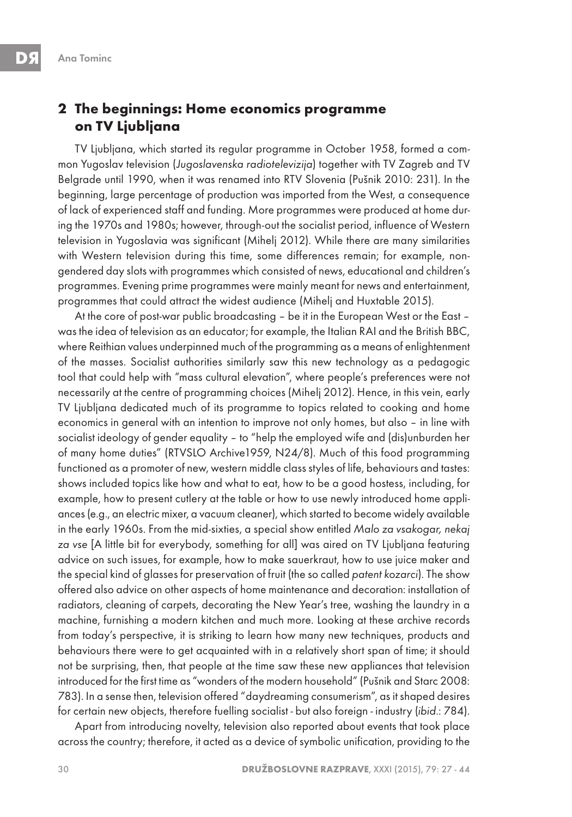### **2 The beginnings: Home economics programme on TV Ljubljana**

TV Ljubljana, which started its regular programme in October 1958, formed a common Yugoslav television (Jugoslavenska radiotelevizija) together with TV Zagreb and TV Belgrade until 1990, when it was renamed into RTV Slovenia (Pušnik 2010: 231). In the beginning, large percentage of production was imported from the West, a consequence of lack of experienced staff and funding. More programmes were produced at home during the 1970s and 1980s; however, through-out the socialist period, influence of Western television in Yugoslavia was significant (Mihelj 2012). While there are many similarities with Western television during this time, some differences remain; for example, nongendered day slots with programmes which consisted of news, educational and children's programmes. Evening prime programmes were mainly meant for news and entertainment, programmes that could attract the widest audience (Mihelj and Huxtable 2015).

At the core of post-war public broadcasting – be it in the European West or the East – was the idea of television as an educator; for example, the Italian RAI and the British BBC, where Reithian values underpinned much of the programming as a means of enlightenment of the masses. Socialist authorities similarly saw this new technology as a pedagogic tool that could help with "mass cultural elevation", where people's preferences were not necessarily at the centre of programming choices (Mihelj 2012). Hence, in this vein, early TV Ljubljana dedicated much of its programme to topics related to cooking and home economics in general with an intention to improve not only homes, but also – in line with socialist ideology of gender equality – to "help the employed wife and (dis)unburden her of many home duties" (RTVSLO Archive1959, N24/8). Much of this food programming functioned as a promoter of new, western middle class styles of life, behaviours and tastes: shows included topics like how and what to eat, how to be a good hostess, including, for example, how to present cutlery at the table or how to use newly introduced home appliances (e.g., an electric mixer, a vacuum cleaner), which started to become widely available in the early 1960s. From the mid-sixties, a special show entitled Malo za vsakogar, nekaj za vse [A little bit for everybody, something for all] was aired on TV Ljubljana featuring advice on such issues, for example, how to make sauerkraut, how to use juice maker and the special kind of glasses for preservation of fruit (the so called patent kozarci). The show offered also advice on other aspects of home maintenance and decoration: installation of radiators, cleaning of carpets, decorating the New Year's tree, washing the laundry in a machine, furnishing a modern kitchen and much more. Looking at these archive records from today's perspective, it is striking to learn how many new techniques, products and behaviours there were to get acquainted with in a relatively short span of time; it should not be surprising, then, that people at the time saw these new appliances that television introduced for the first time as "wonders of the modern household" (Pušnik and Starc 2008: 783). In a sense then, television offered "daydreaming consumerism", as it shaped desires for certain new objects, therefore fuelling socialist - but also foreign - industry (ibid.: 784).

Apart from introducing novelty, television also reported about events that took place across the country; therefore, it acted as a device of symbolic unification, providing to the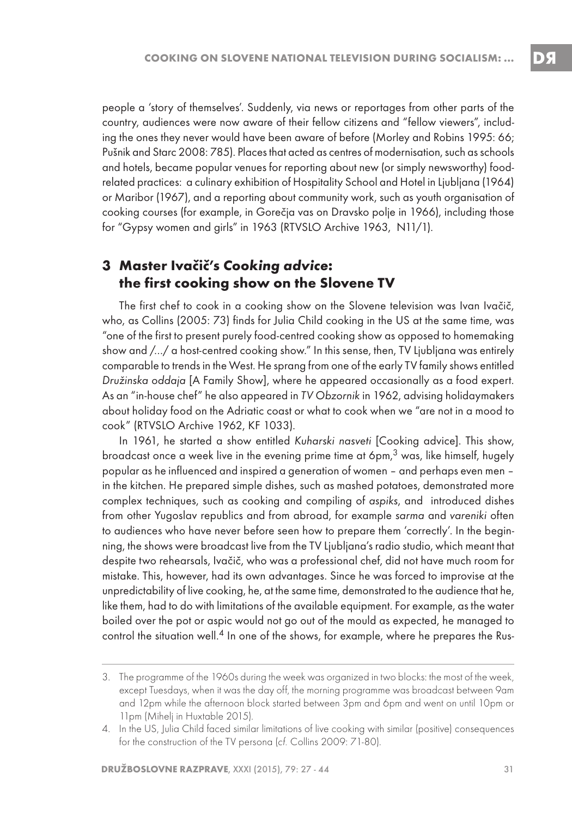people a 'story of themselves'. Suddenly, via news or reportages from other parts of the country, audiences were now aware of their fellow citizens and "fellow viewers", including the ones they never would have been aware of before (Morley and Robins 1995: 66; Pušnik and Starc 2008: 785). Places that acted as centres of modernisation, such as schools and hotels, became popular venues for reporting about new (or simply newsworthy) foodrelated practices: a culinary exhibition of Hospitality School and Hotel in Ljubljana (1964) or Maribor (1967), and a reporting about community work, such as youth organisation of cooking courses (for example, in Gorečja vas on Dravsko polje in 1966), including those for "Gypsy women and girls" in 1963 (RTVSLO Archive 1963, N11/1).

# **3 Master Ivačič's Cooking advice: the first cooking show on the Slovene TV**

The first chef to cook in a cooking show on the Slovene television was Ivan Ivačič, who, as Collins (2005: 73) finds for Julia Child cooking in the US at the same time, was "one of the first to present purely food-centred cooking show as opposed to homemaking show and /…/ a host-centred cooking show." In this sense, then, TV Ljubljana was entirely comparable to trends in the West. He sprang from one of the early TV family shows entitled Družinska oddaja [A Family Show], where he appeared occasionally as a food expert. As an "in-house chef" he also appeared in TV Obzornik in 1962, advising holidaymakers about holiday food on the Adriatic coast or what to cook when we "are not in a mood to cook" (RTVSLO Archive 1962, KF 1033).

In 1961, he started a show entitled Kuharski nasveti [Cooking advice]. This show, broadcast once a week live in the evening prime time at  $6 \text{pm}, 3$  was, like himself, hugely popular as he influenced and inspired a generation of women – and perhaps even men – in the kitchen. He prepared simple dishes, such as mashed potatoes, demonstrated more complex techniques, such as cooking and compiling of aspiks, and introduced dishes from other Yugoslav republics and from abroad, for example sarma and vareniki often to audiences who have never before seen how to prepare them 'correctly'. In the beginning, the shows were broadcast live from the TV Ljubljana's radio studio, which meant that despite two rehearsals, Ivačič, who was a professional chef, did not have much room for mistake. This, however, had its own advantages. Since he was forced to improvise at the unpredictability of live cooking, he, at the same time, demonstrated to the audience that he, like them, had to do with limitations of the available equipment. For example, as the water boiled over the pot or aspic would not go out of the mould as expected, he managed to control the situation well.4 In one of the shows, for example, where he prepares the Rus-

<sup>3.</sup> The programme of the 1960s during the week was organized in two blocks: the most of the week, except Tuesdays, when it was the day off, the morning programme was broadcast between 9am and 12pm while the afternoon block started between 3pm and 6pm and went on until 10pm or 11pm (Mihelj in Huxtable 2015).

<sup>4.</sup> In the US, Julia Child faced similar limitations of live cooking with similar (positive) consequences for the construction of the TV persona (cf. Collins 2009: 71-80).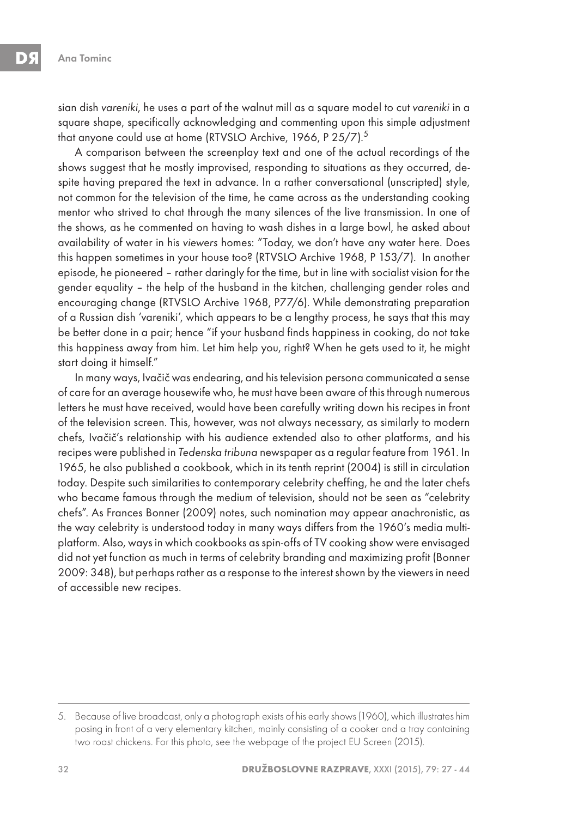sian dish vareniki, he uses a part of the walnut mill as a square model to cut vareniki in a square shape, specifically acknowledging and commenting upon this simple adjustment that anyone could use at home (RTVSLO Archive, 1966, P 25/7).<sup>5</sup>

A comparison between the screenplay text and one of the actual recordings of the shows suggest that he mostly improvised, responding to situations as they occurred, despite having prepared the text in advance. In a rather conversational (unscripted) style, not common for the television of the time, he came across as the understanding cooking mentor who strived to chat through the many silences of the live transmission. In one of the shows, as he commented on having to wash dishes in a large bowl, he asked about availability of water in his viewers homes: "Today, we don't have any water here. Does this happen sometimes in your house too? (RTVSLO Archive 1968, P 153/7). In another episode, he pioneered – rather daringly for the time, but in line with socialist vision for the gender equality – the help of the husband in the kitchen, challenging gender roles and encouraging change (RTVSLO Archive 1968, P77/6). While demonstrating preparation of a Russian dish 'vareniki', which appears to be a lengthy process, he says that this may be better done in a pair; hence "if your husband finds happiness in cooking, do not take this happiness away from him. Let him help you, right? When he gets used to it, he might start doing it himself."

In many ways, Ivačič was endearing, and his television persona communicated a sense of care for an average housewife who, he must have been aware of this through numerous letters he must have received, would have been carefully writing down his recipes in front of the television screen. This, however, was not always necessary, as similarly to modern chefs, Ivačič's relationship with his audience extended also to other platforms, and his recipes were published in Tedenska tribuna newspaper as a regular feature from 1961. In 1965, he also published a cookbook, which in its tenth reprint (2004) is still in circulation today. Despite such similarities to contemporary celebrity cheffing, he and the later chefs who became famous through the medium of television, should not be seen as "celebrity chefs". As Frances Bonner (2009) notes, such nomination may appear anachronistic, as the way celebrity is understood today in many ways differs from the 1960's media multiplatform. Also, ways in which cookbooks as spin-offs of TV cooking show were envisaged did not yet function as much in terms of celebrity branding and maximizing profit (Bonner 2009: 348), but perhaps rather as a response to the interest shown by the viewers in need of accessible new recipes.

<sup>5.</sup> Because of live broadcast, only a photograph exists of his early shows (1960), which illustrates him posing in front of a very elementary kitchen, mainly consisting of a cooker and a tray containing two roast chickens. For this photo, see the webpage of the project EU Screen (2015).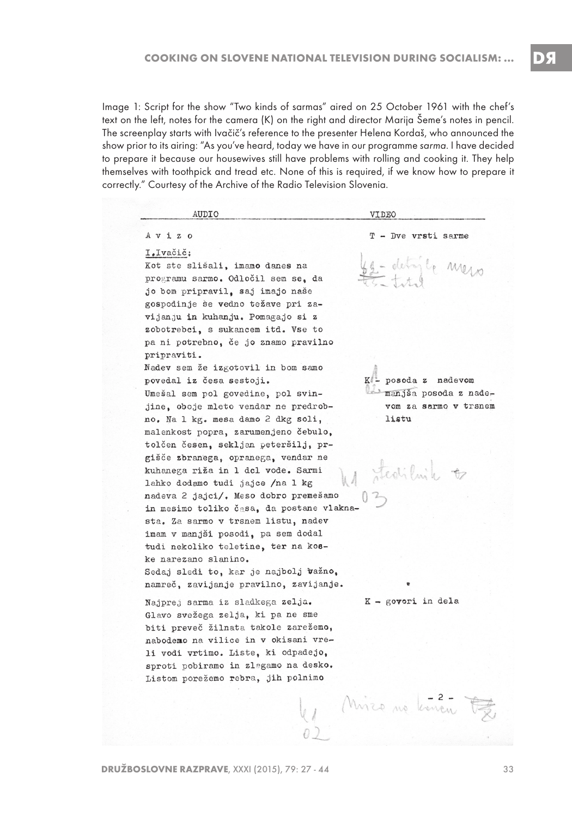Image 1: Script for the show "Two kinds of sarmas" aired on 25 October 1961 with the chef's text on the left, notes for the camera (K) on the right and director Marija Šeme's notes in pencil. The screenplay starts with Ivačič's reference to the presenter Helena Kordaš, who announced the show prior to its airing: "As you've heard, today we have in our programme sarma. I have decided to prepare it because our housewives still have problems with rolling and cooking it. They help themselves with toothpick and tread etc. None of this is required, if we know how to prepare it correctly." Courtesy of the Archive of the Radio Television Slovenia.

| AUDIO                                     | VIDEO                 |
|-------------------------------------------|-----------------------|
| $A \lor i \not\equiv o$                   | T - Dve vrsti sarme   |
| I.Ivačič:                                 |                       |
| Kot ste slišali, imamo danes na           | - detaile meso        |
| programu sarmo. Odločil sem se. da        |                       |
| jo bom pripravil, saj imajo naše          |                       |
| gospodinje se vedno težave pri za-        |                       |
| vijanju in kuhanju. Pomagajo si z         |                       |
| zobotrebci, s sukancem itd. Vse to        |                       |
| pa ni potrebno, če jo znamo pravilno      |                       |
| pripraviti.                               |                       |
| Nadev sem že izgotovil in bom samo        |                       |
| povedal iz česa sestoji.                  | K - posoda z nadevom  |
| Umešal sem pol govedine, pol svin-        | manjša posoda z nade- |
| jine, oboje mleto vendar ne predrob-      | vom za sarmo v trsnem |
| no. Na 1 kg. mesa damo 2 dkg soli,        | listu                 |
| malenkost popra, zarumenjeno čebulo,      |                       |
| tolčen česen, sekljan peteršilj, pr-      |                       |
| gišče zbranega, opranega, vendar ne       |                       |
| kuhanega riža in 1 dcl vode. Sarmi        | Stedilink to          |
| lahko dodamo tudi jajce /na 1 kg          |                       |
| nadeva 2 jajci/. Meso dobro premešamo     |                       |
| in mesimo toliko časa, da postane vlakna- |                       |
| sta. Za sarmo v trsnem listu, nadev       |                       |
| imam v manjši posodi, pa sem dodal        |                       |
| tudi nekoliko teletine, ter na kos-       |                       |
| ke narezano slanino.                      |                       |
| Sedaj sledi to, kar je najbolj važno,     |                       |
| namreč, zavijanje pravilno, zavijanje.    |                       |
| Najprej sarma iz sladkega zelja.          | $K -$ goveri in dela  |
| Glavo svežega zelja, ki pa ne sme         |                       |
| biti preveč žilnata takole zarežemo,      |                       |
| nabodemo na vilice in v okisani vre-      |                       |
| li vodi vrtimo. Liste, ki odpadejo.       |                       |
| sproti pobiramo in zlagamo na desko.      |                       |
| Listom porežemo rebra, jih polnimo        |                       |
|                                           |                       |
|                                           | Misso no konon F.     |
|                                           |                       |
|                                           |                       |

DЯ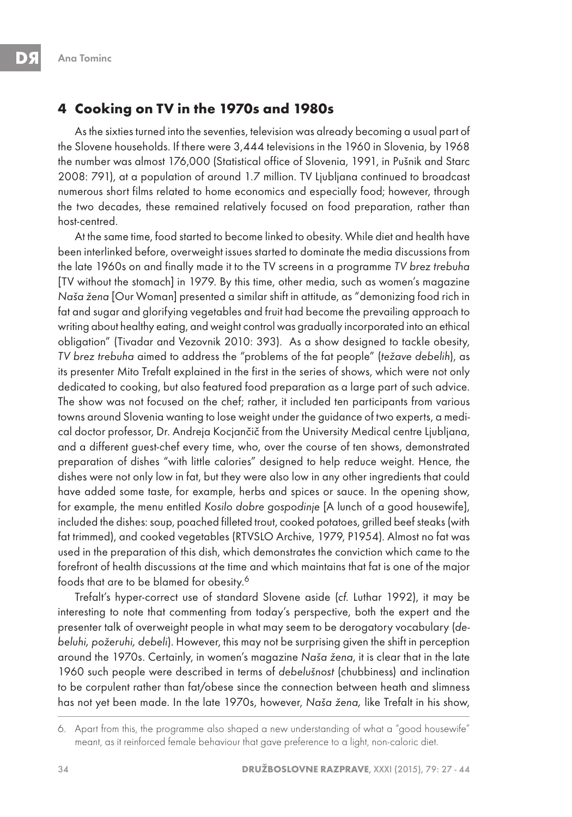### **4 Cooking on TV in the 1970s and 1980s**

As the sixties turned into the seventies, television was already becoming a usual part of the Slovene households. If there were 3,444 televisions in the 1960 in Slovenia, by 1968 the number was almost 176,000 (Statistical office of Slovenia, 1991, in Pušnik and Starc 2008: 791), at a population of around 1.7 million. TV Ljubljana continued to broadcast numerous short films related to home economics and especially food; however, through the two decades, these remained relatively focused on food preparation, rather than host-centred.

At the same time, food started to become linked to obesity. While diet and health have been interlinked before, overweight issues started to dominate the media discussions from the late 1960s on and finally made it to the TV screens in a programme TV brez trebuha [TV without the stomach] in 1979. By this time, other media, such as women's magazine Naša žena [Our Woman] presented a similar shift in attitude, as "demonizing food rich in fat and sugar and glorifying vegetables and fruit had become the prevailing approach to writing about healthy eating, and weight control was gradually incorporated into an ethical obligation" (Tivadar and Vezovnik 2010: 393). As a show designed to tackle obesity, TV brez trebuha aimed to address the "problems of the fat people" (težave debelih), as its presenter Mito Trefalt explained in the first in the series of shows, which were not only dedicated to cooking, but also featured food preparation as a large part of such advice. The show was not focused on the chef; rather, it included ten participants from various towns around Slovenia wanting to lose weight under the guidance of two experts, a medical doctor professor, Dr. Andreja Kocjančič from the University Medical centre Ljubljana, and a different guest-chef every time, who, over the course of ten shows, demonstrated preparation of dishes "with little calories" designed to help reduce weight. Hence, the dishes were not only low in fat, but they were also low in any other ingredients that could have added some taste, for example, herbs and spices or sauce. In the opening show, for example, the menu entitled Kosilo dobre gospodinje [A lunch of a good housewife], included the dishes: soup, poached filleted trout, cooked potatoes, grilled beef steaks (with fat trimmed), and cooked vegetables (RTVSLO Archive, 1979, P1954). Almost no fat was used in the preparation of this dish, which demonstrates the conviction which came to the forefront of health discussions at the time and which maintains that fat is one of the major foods that are to be blamed for obesity.6

Trefalt's hyper-correct use of standard Slovene aside (cf. Luthar 1992), it may be interesting to note that commenting from today's perspective, both the expert and the presenter talk of overweight people in what may seem to be derogatory vocabulary (debeluhi, požeruhi, debeli). However, this may not be surprising given the shift in perception around the 1970s. Certainly, in women's magazine Naša žena, it is clear that in the late 1960 such people were described in terms of debelušnost (chubbiness) and inclination to be corpulent rather than fat/obese since the connection between heath and slimness has not yet been made. In the late 1970s, however, Naša žena, like Trefalt in his show,

<sup>6.</sup> Apart from this, the programme also shaped a new understanding of what a "good housewife" meant, as it reinforced female behaviour that gave preference to a light, non-caloric diet.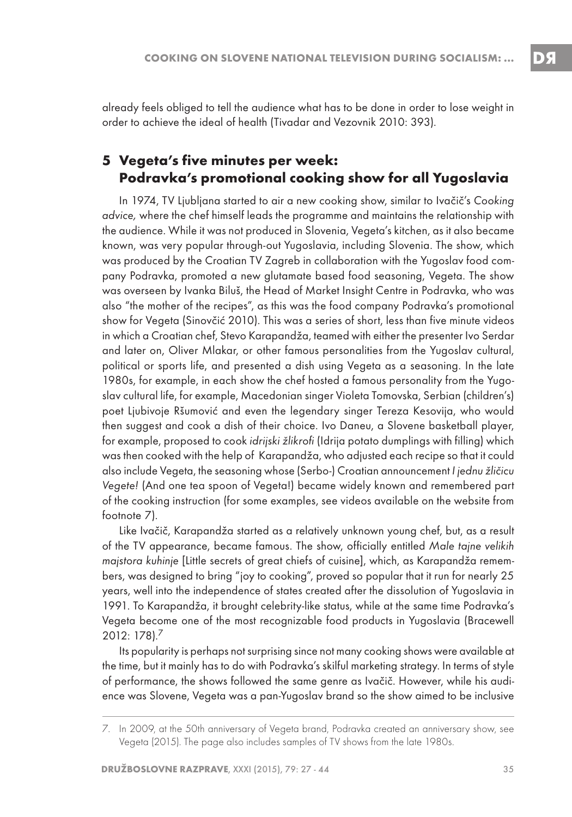# **5 Vegeta's five minutes per week: Podravka's promotional cooking show for all Yugoslavia**

In 1974, TV Ljubljana started to air a new cooking show, similar to Ivačič's Cooking advice, where the chef himself leads the programme and maintains the relationship with the audience. While it was not produced in Slovenia, Vegeta's kitchen, as it also became known, was very popular through-out Yugoslavia, including Slovenia. The show, which was produced by the Croatian TV Zagreb in collaboration with the Yugoslav food company Podravka, promoted a new glutamate based food seasoning, Vegeta. The show was overseen by Ivanka Biluš, the Head of Market Insight Centre in Podravka, who was also "the mother of the recipes", as this was the food company Podravka's promotional show for Vegeta (Sinovčić 2010). This was a series of short, less than five minute videos in which a Croatian chef, Stevo Karapandža, teamed with either the presenter Ivo Serdar and later on, Oliver Mlakar, or other famous personalities from the Yugoslav cultural, political or sports life, and presented a dish using Vegeta as a seasoning. In the late 1980s, for example, in each show the chef hosted a famous personality from the Yugoslav cultural life, for example, Macedonian singer Violeta Tomovska, Serbian (children's) poet Ljubivoje Ršumović and even the legendary singer Tereza Kesovija, who would then suggest and cook a dish of their choice. Ivo Daneu, a Slovene basketball player, for example, proposed to cook idrijski žlikrofi (Idrija potato dumplings with filling) which was then cooked with the help of Karapandža, who adjusted each recipe so that it could also include Vegeta, the seasoning whose (Serbo-) Croatian announcement I jednu žličicu Vegete! (And one tea spoon of Vegeta!) became widely known and remembered part of the cooking instruction (for some examples, see videos available on the website from footnote 7).

Like Ivačič, Karapandža started as a relatively unknown young chef, but, as a result of the TV appearance, became famous. The show, officially entitled Male tajne velikih majstora kuhinje [Little secrets of great chiefs of cuisine], which, as Karapandža remembers, was designed to bring "joy to cooking", proved so popular that it run for nearly 25 years, well into the independence of states created after the dissolution of Yugoslavia in 1991. To Karapandža, it brought celebrity-like status, while at the same time Podravka's Vegeta become one of the most recognizable food products in Yugoslavia (Bracewell 2012: 178).7

Its popularity is perhaps not surprising since not many cooking shows were available at the time, but it mainly has to do with Podravka's skilful marketing strategy. In terms of style of performance, the shows followed the same genre as Ivačič. However, while his audience was Slovene, Vegeta was a pan-Yugoslav brand so the show aimed to be inclusive

DЯ

<sup>7.</sup> In 2009, at the 50th anniversary of Vegeta brand, Podravka created an anniversary show, see Vegeta (2015). The page also includes samples of TV shows from the late 1980s.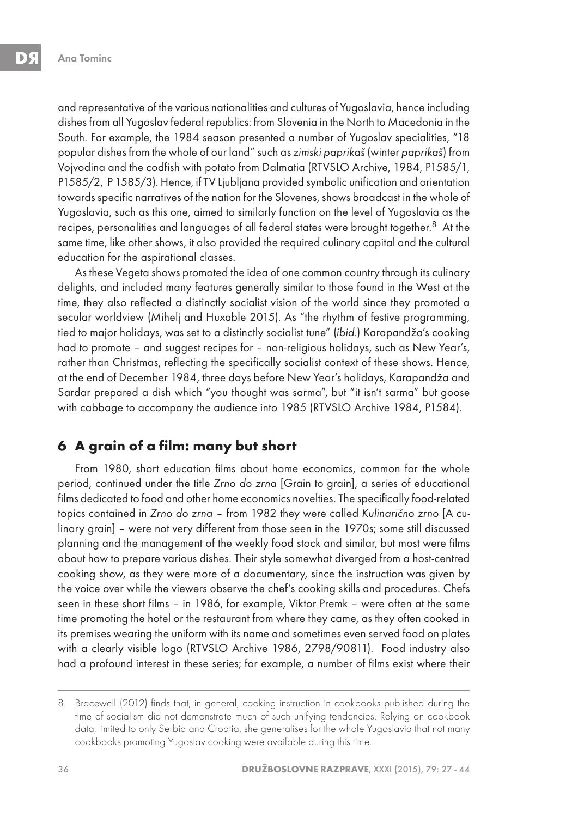and representative of the various nationalities and cultures of Yugoslavia, hence including dishes from all Yugoslav federal republics: from Slovenia in the North to Macedonia in the South. For example, the 1984 season presented a number of Yugoslav specialities, "18 popular dishes from the whole of our land" such as zimski paprikaš (winter paprikaš) from Vojvodina and the codfish with potato from Dalmatia (RTVSLO Archive, 1984, P1585/1, P1585/2, P 1585/3). Hence, if TV Ljubljana provided symbolic unification and orientation towards specific narratives of the nation for the Slovenes, shows broadcast in the whole of Yugoslavia, such as this one, aimed to similarly function on the level of Yugoslavia as the recipes, personalities and languages of all federal states were brought together.<sup>8</sup> At the same time, like other shows, it also provided the required culinary capital and the cultural education for the aspirational classes.

As these Vegeta shows promoted the idea of one common country through its culinary delights, and included many features generally similar to those found in the West at the time, they also reflected a distinctly socialist vision of the world since they promoted a secular worldview (Mihelj and Huxable 2015). As "the rhythm of festive programming, tied to major holidays, was set to a distinctly socialist tune" (ibid.) Karapandža's cooking had to promote – and suggest recipes for – non-religious holidays, such as New Year's, rather than Christmas, reflecting the specifically socialist context of these shows. Hence, at the end of December 1984, three days before New Year's holidays, Karapandža and Sardar prepared a dish which "you thought was sarma", but "it isn't sarma" but goose with cabbage to accompany the audience into 1985 (RTVSLO Archive 1984, P1584).

## **6 A grain of a film: many but short**

From 1980, short education films about home economics, common for the whole period, continued under the title Zrno do zrna [Grain to grain], a series of educational films dedicated to food and other home economics novelties. The specifically food-related topics contained in Zrno do zrna – from 1982 they were called Kulinarično zrno [A culinary grain] – were not very different from those seen in the 1970s; some still discussed planning and the management of the weekly food stock and similar, but most were films about how to prepare various dishes. Their style somewhat diverged from a host-centred cooking show, as they were more of a documentary, since the instruction was given by the voice over while the viewers observe the chef's cooking skills and procedures. Chefs seen in these short films – in 1986, for example, Viktor Premk – were often at the same time promoting the hotel or the restaurant from where they came, as they often cooked in its premises wearing the uniform with its name and sometimes even served food on plates with a clearly visible logo (RTVSLO Archive 1986, 2798/90811). Food industry also had a profound interest in these series; for example, a number of films exist where their

<sup>8.</sup> Bracewell (2012) finds that, in general, cooking instruction in cookbooks published during the time of socialism did not demonstrate much of such unifying tendencies. Relying on cookbook data, limited to only Serbia and Croatia, she generalises for the whole Yugoslavia that not many cookbooks promoting Yugoslav cooking were available during this time.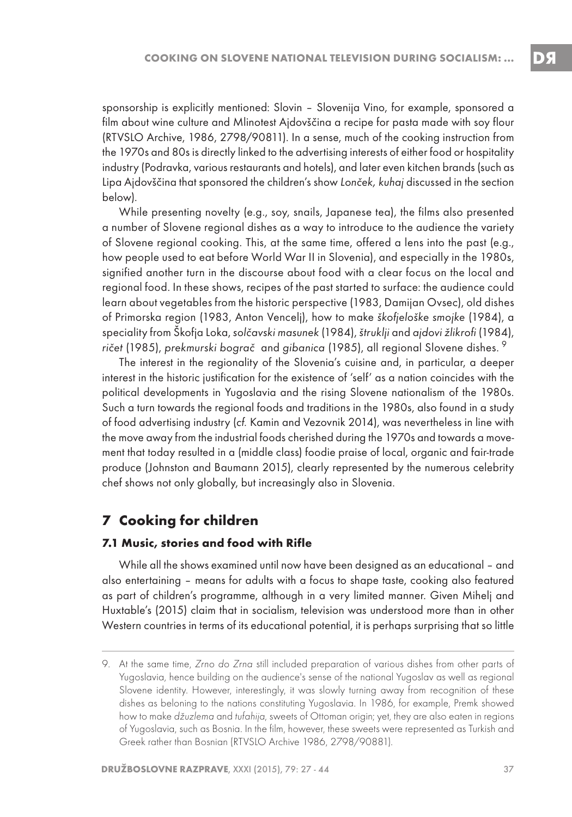sponsorship is explicitly mentioned: Slovin – Slovenija Vino, for example, sponsored a film about wine culture and Mlinotest Ajdovščina a recipe for pasta made with soy flour (RTVSLO Archive, 1986, 2798/90811). In a sense, much of the cooking instruction from the 1970s and 80s is directly linked to the advertising interests of either food or hospitality industry (Podravka, various restaurants and hotels), and later even kitchen brands (such as Lipa Ajdovščina that sponsored the children's show Lonček, kuhaj discussed in the section below).

While presenting novelty (e.g., soy, snails, Japanese tea), the films also presented a number of Slovene regional dishes as a way to introduce to the audience the variety of Slovene regional cooking. This, at the same time, offered a lens into the past (e.g., how people used to eat before World War II in Slovenia), and especially in the 1980s, signified another turn in the discourse about food with a clear focus on the local and regional food. In these shows, recipes of the past started to surface: the audience could learn about vegetables from the historic perspective (1983, Damijan Ovsec), old dishes of Primorska region (1983, Anton Vencelj), how to make škofjeloške smojke (1984), a speciality from Škofja Loka, solčavski masunek (1984), štruklji and ajdovi žlikrofi (1984), ričet (1985), prekmurski bograč and gibanica (1985), all regional Slovene dishes. <sup>9</sup>

The interest in the regionality of the Slovenia's cuisine and, in particular, a deeper interest in the historic justification for the existence of 'self' as a nation coincides with the political developments in Yugoslavia and the rising Slovene nationalism of the 1980s. Such a turn towards the regional foods and traditions in the 1980s, also found in a study of food advertising industry (cf. Kamin and Vezovnik 2014), was nevertheless in line with the move away from the industrial foods cherished during the 1970s and towards a movement that today resulted in a (middle class) foodie praise of local, organic and fair-trade produce (Johnston and Baumann 2015), clearly represented by the numerous celebrity chef shows not only globally, but increasingly also in Slovenia.

### **7 Cooking for children**

#### **7.1 Music, stories and food with Rifle**

While all the shows examined until now have been designed as an educational – and also entertaining – means for adults with a focus to shape taste, cooking also featured as part of children's programme, although in a very limited manner. Given Mihelj and Huxtable's (2015) claim that in socialism, television was understood more than in other Western countries in terms of its educational potential, it is perhaps surprising that so little

<sup>9.</sup> At the same time, Zrno do Zrna still included preparation of various dishes from other parts of Yugoslavia, hence building on the audience's sense of the national Yugoslav as well as regional Slovene identity. However, interestingly, it was slowly turning away from recognition of these dishes as beloning to the nations constituting Yugoslavia. In 1986, for example, Premk showed how to make džuzlema and tufahija, sweets of Ottoman origin; yet, they are also eaten in regions of Yugoslavia, such as Bosnia. In the film, however, these sweets were represented as Turkish and Greek rather than Bosnian (RTVSLO Archive 1986, 2798/90881).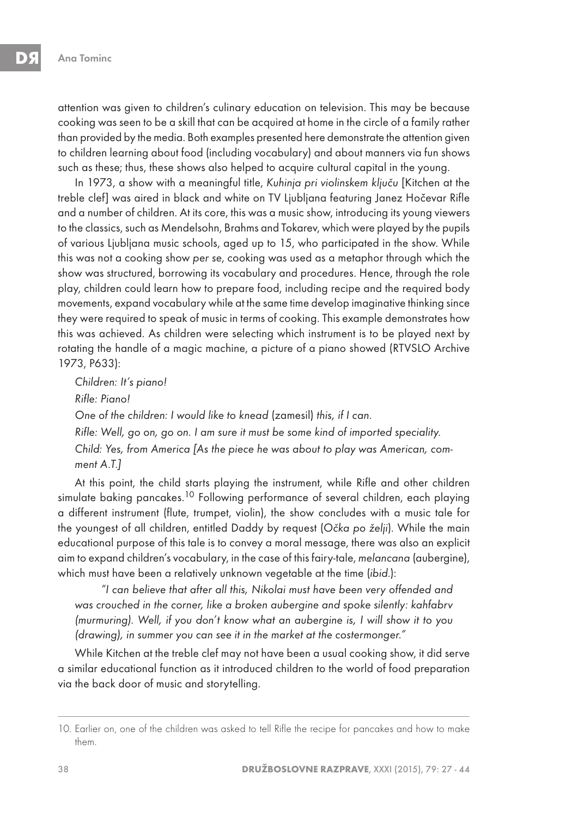attention was given to children's culinary education on television. This may be because cooking was seen to be a skill that can be acquired at home in the circle of a family rather than provided by the media. Both examples presented here demonstrate the attention given to children learning about food (including vocabulary) and about manners via fun shows such as these; thus, these shows also helped to acquire cultural capital in the young.

In 1973, a show with a meaningful title, Kuhinja pri violinskem ključu [Kitchen at the treble clef] was aired in black and white on TV Ljubljana featuring Janez Hočevar Rifle and a number of children. At its core, this was a music show, introducing its young viewers to the classics, such as Mendelsohn, Brahms and Tokarev, which were played by the pupils of various Ljubljana music schools, aged up to 15, who participated in the show. While this was not a cooking show per se, cooking was used as a metaphor through which the show was structured, borrowing its vocabulary and procedures. Hence, through the role play, children could learn how to prepare food, including recipe and the required body movements, expand vocabulary while at the same time develop imaginative thinking since they were required to speak of music in terms of cooking. This example demonstrates how this was achieved. As children were selecting which instrument is to be played next by rotating the handle of a magic machine, a picture of a piano showed (RTVSLO Archive 1973, P633):

Children: It's piano! Rifle: Piano! One of the children: I would like to knead (zamesil) this, if I can. Rifle: Well, go on, go on. I am sure it must be some kind of imported speciality. Child: Yes, from America [As the piece he was about to play was American, comment A.T.]

At this point, the child starts playing the instrument, while Rifle and other children simulate baking pancakes.<sup>10</sup> Following performance of several children, each playing a different instrument (flute, trumpet, violin), the show concludes with a music tale for the youngest of all children, entitled Daddy by request (Očka po želji). While the main educational purpose of this tale is to convey a moral message, there was also an explicit aim to expand children's vocabulary, in the case of this fairy-tale, melancana (aubergine), which must have been a relatively unknown vegetable at the time (ibid.):

"I can believe that after all this, Nikolai must have been very offended and was crouched in the corner, like a broken aubergine and spoke silently: kahfabrv (murmuring). Well, if you don't know what an aubergine is, I will show it to you (drawing), in summer you can see it in the market at the costermonger."

While Kitchen at the treble clef may not have been a usual cooking show, it did serve a similar educational function as it introduced children to the world of food preparation via the back door of music and storytelling.

<sup>10.</sup> Earlier on, one of the children was asked to tell Rifle the recipe for pancakes and how to make them.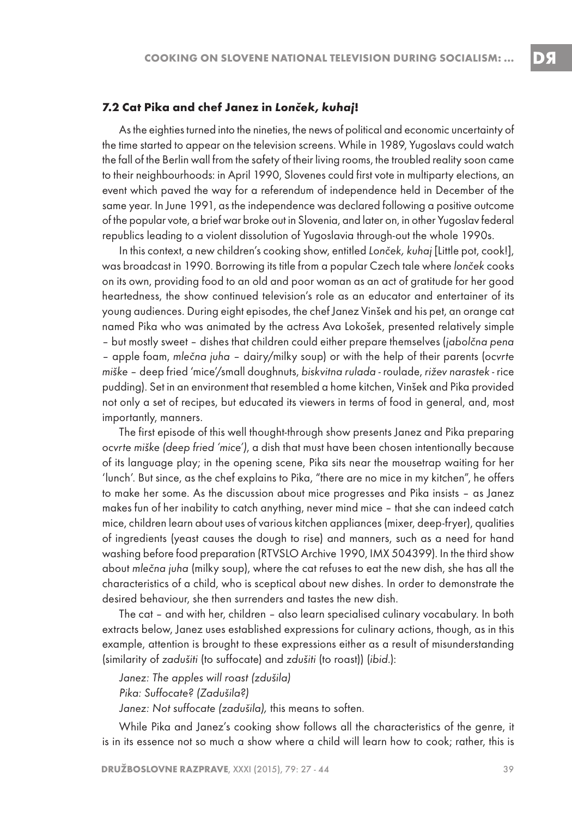#### **7.2 Cat Pika and chef Janez in Lonček, kuhaj!**

As the eighties turned into the nineties, the news of political and economic uncertainty of the time started to appear on the television screens. While in 1989, Yugoslavs could watch the fall of the Berlin wall from the safety of their living rooms, the troubled reality soon came to their neighbourhoods: in April 1990, Slovenes could first vote in multiparty elections, an event which paved the way for a referendum of independence held in December of the same year. In June 1991, as the independence was declared following a positive outcome of the popular vote, a brief war broke out in Slovenia, and later on, in other Yugoslav federal republics leading to a violent dissolution of Yugoslavia through-out the whole 1990s.

In this context, a new children's cooking show, entitled Lonček, kuhaj [Little pot, cook!], was broadcast in 1990. Borrowing its title from a popular Czech tale where lonček cooks on its own, providing food to an old and poor woman as an act of gratitude for her good heartedness, the show continued television's role as an educator and entertainer of its young audiences. During eight episodes, the chef Janez Vinšek and his pet, an orange cat named Pika who was animated by the actress Ava Lokošek, presented relatively simple – but mostly sweet – dishes that children could either prepare themselves (jabolčna pena – apple foam, mlečna juha – dairy/milky soup) or with the help of their parents (ocvrte miške – deep fried 'mice'/small doughnuts, biskvitna rulada - roulade, rižev narastek - rice pudding). Set in an environment that resembled a home kitchen, Vinšek and Pika provided not only a set of recipes, but educated its viewers in terms of food in general, and, most importantly, manners.

The first episode of this well thought-through show presents Janez and Pika preparing ocvrte miške (deep fried 'mice'), a dish that must have been chosen intentionally because of its language play; in the opening scene, Pika sits near the mousetrap waiting for her 'lunch'. But since, as the chef explains to Pika, "there are no mice in my kitchen", he offers to make her some. As the discussion about mice progresses and Pika insists – as Janez makes fun of her inability to catch anything, never mind mice – that she can indeed catch mice, children learn about uses of various kitchen appliances (mixer, deep-fryer), qualities of ingredients (yeast causes the dough to rise) and manners, such as a need for hand washing before food preparation (RTVSLO Archive 1990, IMX 504399). In the third show about mlečna juha (milky soup), where the cat refuses to eat the new dish, she has all the characteristics of a child, who is sceptical about new dishes. In order to demonstrate the desired behaviour, she then surrenders and tastes the new dish.

The cat – and with her, children – also learn specialised culinary vocabulary. In both extracts below, Janez uses established expressions for culinary actions, though, as in this example, attention is brought to these expressions either as a result of misunderstanding (similarity of zadušiti (to suffocate) and zdušiti (to roast)) (ibid.):

Janez: The apples will roast (zdušila) Pika: Suffocate? (Zadušila?) Janez: Not suffocate (zadušila), this means to soften.

While Pika and Janez's cooking show follows all the characteristics of the genre, it is in its essence not so much a show where a child will learn how to cook; rather, this is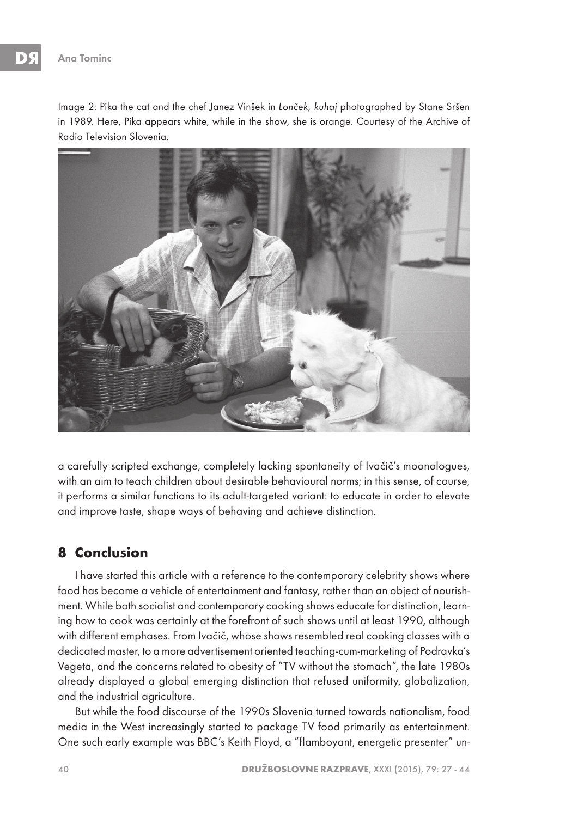Image 2: Pika the cat and the chef Janez Vinšek in Lonček, kuhaj photographed by Stane Sršen in 1989. Here, Pika appears white, while in the show, she is orange. Courtesy of the Archive of Radio Television Slovenia.



a carefully scripted exchange, completely lacking spontaneity of Ivačič's moonologues, with an aim to teach children about desirable behavioural norms; in this sense, of course, it performs a similar functions to its adult-targeted variant: to educate in order to elevate and improve taste, shape ways of behaving and achieve distinction.

### **8 Conclusion**

I have started this article with a reference to the contemporary celebrity shows where food has become a vehicle of entertainment and fantasy, rather than an object of nourishment. While both socialist and contemporary cooking shows educate for distinction, learning how to cook was certainly at the forefront of such shows until at least 1990, although with different emphases. From Ivačič, whose shows resembled real cooking classes with a dedicated master, to a more advertisement oriented teaching-cum-marketing of Podravka's Vegeta, and the concerns related to obesity of "TV without the stomach", the late 1980s already displayed a global emerging distinction that refused uniformity, globalization, and the industrial agriculture.

But while the food discourse of the 1990s Slovenia turned towards nationalism, food media in the West increasingly started to package TV food primarily as entertainment. One such early example was BBC's Keith Floyd, a "flamboyant, energetic presenter" un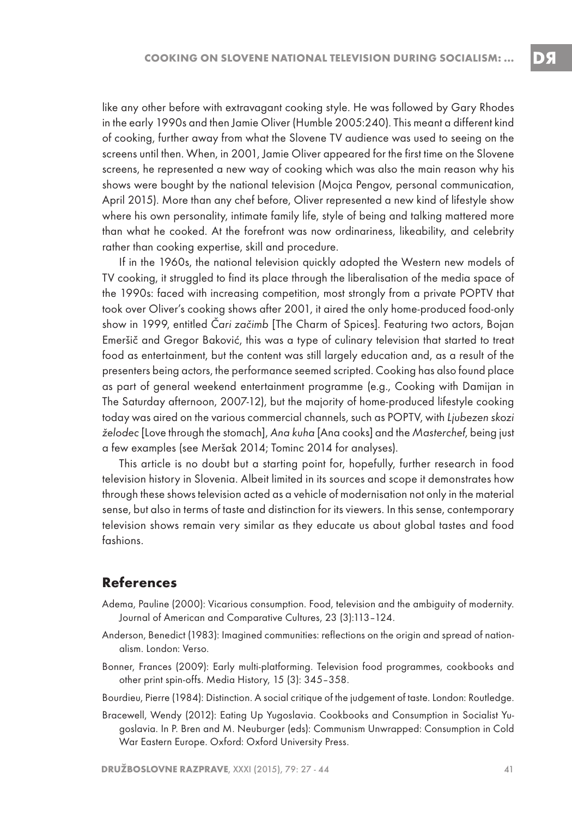like any other before with extravagant cooking style. He was followed by Gary Rhodes in the early 1990s and then Jamie Oliver (Humble 2005:240). This meant a different kind of cooking, further away from what the Slovene TV audience was used to seeing on the screens until then. When, in 2001, Jamie Oliver appeared for the first time on the Slovene screens, he represented a new way of cooking which was also the main reason why his shows were bought by the national television (Mojca Pengov, personal communication, April 2015). More than any chef before, Oliver represented a new kind of lifestyle show where his own personality, intimate family life, style of being and talking mattered more than what he cooked. At the forefront was now ordinariness, likeability, and celebrity rather than cooking expertise, skill and procedure.

If in the 1960s, the national television quickly adopted the Western new models of TV cooking, it struggled to find its place through the liberalisation of the media space of the 1990s: faced with increasing competition, most strongly from a private POPTV that took over Oliver's cooking shows after 2001, it aired the only home-produced food-only show in 1999, entitled Čari začimb [The Charm of Spices]. Featuring two actors, Bojan Emeršič and Gregor Baković, this was a type of culinary television that started to treat food as entertainment, but the content was still largely education and, as a result of the presenters being actors, the performance seemed scripted. Cooking has also found place as part of general weekend entertainment programme (e.g., Cooking with Damijan in The Saturday afternoon, 2007-12), but the majority of home-produced lifestyle cooking today was aired on the various commercial channels, such as POPTV, with Ljubezen skozi želodec [Love through the stomach], Ana kuha [Ana cooks] and the Masterchef, being just a few examples (see Meršak 2014; Tominc 2014 for analyses).

This article is no doubt but a starting point for, hopefully, further research in food television history in Slovenia. Albeit limited in its sources and scope it demonstrates how through these shows television acted as a vehicle of modernisation not only in the material sense, but also in terms of taste and distinction for its viewers. In this sense, contemporary television shows remain very similar as they educate us about global tastes and food fashions.

#### **References**

- Adema, Pauline (2000): Vicarious consumption. Food, television and the ambiguity of modernity. Journal of American and Comparative Cultures, 23 (3):113–124.
- Anderson, Benedict (1983): Imagined communities: reflections on the origin and spread of nationalism. London: Verso.
- Bonner, Frances (2009): Early multi-platforming. Television food programmes, cookbooks and other print spin-offs. Media History, 15 (3): 345–358.
- Bourdieu, Pierre (1984): Distinction. A social critique of the judgement of taste. London: Routledge.
- Bracewell, Wendy (2012): Eating Up Yugoslavia. Cookbooks and Consumption in Socialist Yugoslavia. In P. Bren and M. Neuburger (eds): Communism Unwrapped: Consumption in Cold War Eastern Europe. Oxford: Oxford University Press.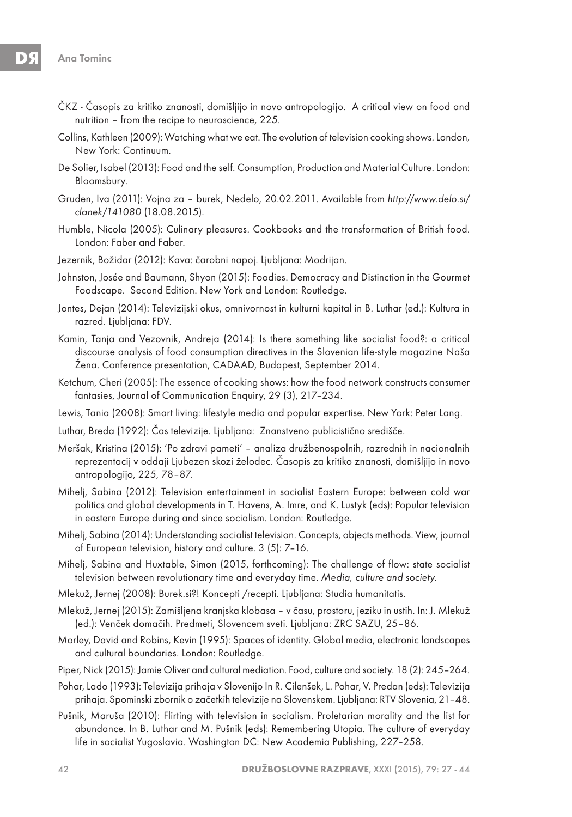- ČKZ Časopis za kritiko znanosti, domišljijo in novo antropologijo. A critical view on food and nutrition – from the recipe to neuroscience, 225.
- Collins, Kathleen (2009): Watching what we eat. The evolution of television cooking shows. London, New York: Continuum.
- De Solier, Isabel (2013): Food and the self. Consumption, Production and Material Culture. London: Bloomsbury.
- Gruden, Iva (2011): Vojna za burek, Nedelo, 20.02.2011. Available from http://www.delo.si/ clanek/141080 (18.08.2015).
- Humble, Nicola (2005): Culinary pleasures. Cookbooks and the transformation of British food. London: Faber and Faber.
- Jezernik, Božidar (2012): Kava: čarobni napoj. Ljubljana: Modrijan.
- Johnston, Josée and Baumann, Shyon (2015): Foodies. Democracy and Distinction in the Gourmet Foodscape. Second Edition. New York and London: Routledge.
- Jontes, Dejan (2014): Televizijski okus, omnivornost in kulturni kapital in B. Luthar (ed.): Kultura in razred. Ljubljana: FDV.
- Kamin, Tanja and Vezovnik, Andreja (2014): Is there something like socialist food?: a critical discourse analysis of food consumption directives in the Slovenian life-style magazine Naša Žena. Conference presentation, CADAAD, Budapest, September 2014.
- Ketchum, Cheri (2005): The essence of cooking shows: how the food network constructs consumer fantasies, Journal of Communication Enquiry, 29 (3), 217–234.
- Lewis, Tania (2008): Smart living: lifestyle media and popular expertise. New York: Peter Lang.
- Luthar, Breda (1992): Čas televizije. Ljubljana: Znanstveno publicistično središče.
- Meršak, Kristina (2015): 'Po zdravi pameti' analiza družbenospolnih, razrednih in nacionalnih reprezentacij v oddaji Ljubezen skozi želodec. Časopis za kritiko znanosti, domišljijo in novo antropologijo, 225, 78–87.
- Mihelj, Sabina (2012): Television entertainment in socialist Eastern Europe: between cold war politics and global developments in T. Havens, A. Imre, and K. Lustyk (eds): Popular television in eastern Europe during and since socialism. London: Routledge.
- Mihelj, Sabina (2014): Understanding socialist television. Concepts, objects methods. View, journal of European television, history and culture. 3 (5): 7–16.
- Mihelj, Sabina and Huxtable, Simon (2015, forthcoming): The challenge of flow: state socialist television between revolutionary time and everyday time. Media, culture and society.
- Mlekuž, Jernej (2008): Burek.si?! Koncepti /recepti. Ljubljana: Studia humanitatis.
- Mlekuž, Jernej (2015): Zamišljena kranjska klobasa v času, prostoru, jeziku in ustih. In: J. Mlekuž (ed.): Venček domačih. Predmeti, Slovencem sveti. Ljubljana: ZRC SAZU, 25–86.
- Morley, David and Robins, Kevin (1995): Spaces of identity. Global media, electronic landscapes and cultural boundaries. London: Routledge.
- Piper, Nick (2015): Jamie Oliver and cultural mediation. Food, culture and society. 18 (2): 245–264.
- Pohar, Lado (1993): Televizija prihaja v Slovenijo In R. Cilenšek, L. Pohar, V. Predan (eds): Televizija prihaja. Spominski zbornik o začetkih televizije na Slovenskem. Ljubljana: RTV Slovenia, 21–48.
- Pušnik, Maruša (2010): Flirting with television in socialism. Proletarian morality and the list for abundance. In B. Luthar and M. Pušnik (eds): Remembering Utopia. The culture of everyday life in socialist Yugoslavia. Washington DC: New Academia Publishing, 227–258.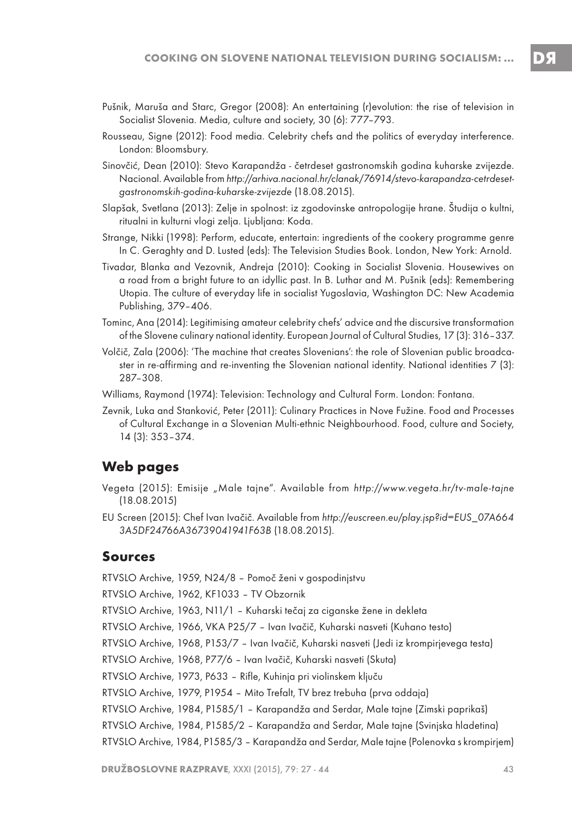- Pušnik, Maruša and Starc, Gregor (2008): An entertaining (r)evolution: the rise of television in Socialist Slovenia. Media, culture and society, 30 (6): 777–793.
- Rousseau, Signe (2012): Food media. Celebrity chefs and the politics of everyday interference. London: Bloomsbury.
- Sinovčić, Dean (2010): Stevo Karapandža četrdeset gastronomskih godina kuharske zvijezde. Nacional. Available from http://arhiva.nacional.hr/clanak/76914/stevo-karapandza-cetrdesetgastronomskih-godina-kuharske-zvijezde (18.08.2015).
- Slapšak, Svetlana (2013): Zelje in spolnost: iz zgodovinske antropologije hrane. Študija o kultni, ritualni in kulturni vlogi zelja. Ljubljana: Koda.
- Strange, Nikki (1998): Perform, educate, entertain: ingredients of the cookery programme genre In C. Geraghty and D. Lusted (eds): The Television Studies Book. London, New York: Arnold.
- Tivadar, Blanka and Vezovnik, Andreja (2010): Cooking in Socialist Slovenia. Housewives on a road from a bright future to an idyllic past. In B. Luthar and M. Pušnik (eds): Remembering Utopia. The culture of everyday life in socialist Yugoslavia, Washington DC: New Academia Publishing, 379–406.
- Tominc, Ana (2014): Legitimising amateur celebrity chefs' advice and the discursive transformation of the Slovene culinary national identity. European Journal of Cultural Studies, 17 (3): 316–337.
- Volčič, Zala (2006): 'The machine that creates Slovenians': the role of Slovenian public broadcaster in re-affirming and re-inventing the Slovenian national identity. National identities 7 (3): 287–308.
- Williams, Raymond (1974): Television: Technology and Cultural Form. London: Fontana.
- Zevnik, Luka and Stanković, Peter (2011): Culinary Practices in Nove Fužine. Food and Processes of Cultural Exchange in a Slovenian Multi-ethnic Neighbourhood. Food, culture and Society, 14 (3): 353–374.

#### **Web pages**

- Vegeta (2015): Emisije "Male tajne". Available from http://www.vegeta.hr/tv-male-tajne (18.08.2015)
- EU Screen (2015): Chef Ivan Ivačič. Available from http://euscreen.eu/play.jsp?id=EUS\_07A664 3A5DF24766A36739041941F63B (18.08.2015).

#### **Sources**

RTVSLO Archive, 1959, N24/8 – Pomoč ženi v gospodinjstvu

RTVSLO Archive, 1962, KF1033 – TV Obzornik

RTVSLO Archive, 1963, N11/1 – Kuharski tečaj za ciganske žene in dekleta

RTVSLO Archive, 1966, VKA P25/7 – Ivan Ivačič, Kuharski nasveti (Kuhano testo)

RTVSLO Archive, 1968, P153/7 – Ivan Ivačič, Kuharski nasveti (Jedi iz krompirjevega testa)

RTVSLO Archive, 1968, P77/6 – Ivan Ivačič, Kuharski nasveti (Skuta)

RTVSLO Archive, 1973, P633 – Rifle, Kuhinja pri violinskem ključu

RTVSLO Archive, 1979, P1954 – Mito Trefalt, TV brez trebuha (prva oddaja)

RTVSLO Archive, 1984, P1585/1 – Karapandža and Serdar, Male tajne (Zimski paprikaš)

RTVSLO Archive, 1984, P1585/2 – Karapandža and Serdar, Male tajne (Svinjska hladetina)

RTVSLO Archive, 1984, P1585/3 – Karapandža and Serdar, Male tajne (Polenovka s krompirjem)

DЯ